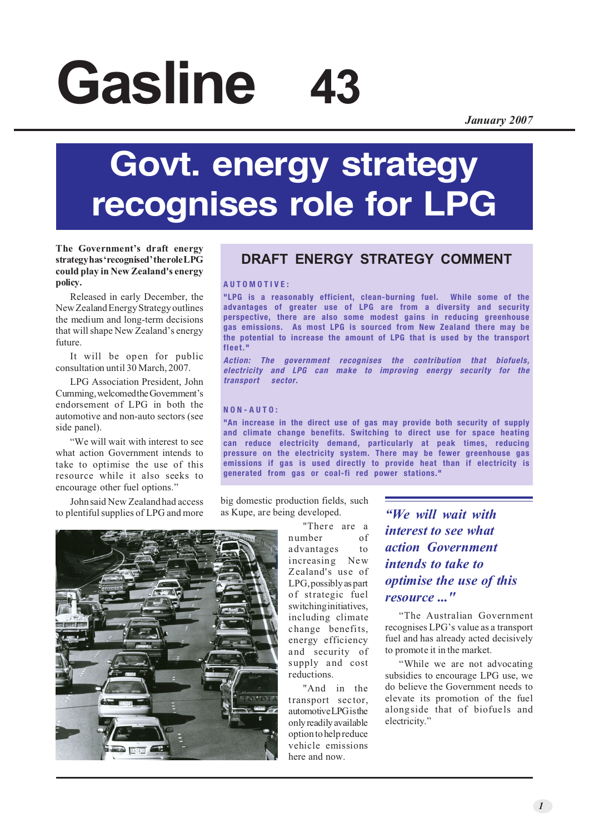# **Gasline 43**

*January 2007*

## **Govt. energy strategy recognises role for LPG**

#### **The Government's draft energy strategy has 'recognised' the role LPG could play in New Zealand's energy policy.**

Released in early December, the New Zealand Energy Strategy outlines the medium and long-term decisions that will shape New Zealand's energy future.

It will be open for public consultation until 30 March, 2007.

LPG Association President, John Cumming, welcomed the Government's endorsement of LPG in both the automotive and non-auto sectors (see side panel).

"We will wait with interest to see what action Government intends to take to optimise the use of this resource while it also seeks to encourage other fuel options."

John said New Zealand had access to plentiful supplies of LPG and more

### **DRAFT ENERGY STRATEGY COMMENT**

#### **AUTOMOTIVE:**

**"LPG is a reasonably efficient, clean-burning fuel. While some of the advantages of greater use of LPG are from a diversity and security perspective, there are also some modest gains in reducing greenhouse gas emissions. As most LPG is sourced from New Zealand there may be the potential to increase the amount of LPG that is used by the transport fleet."**

**Action: The government recognises the contribution that biofuels, electricity and LPG can make to improving energy security for the transport sector.**

#### **NON-AUTO:**

**"An increase in the direct use of gas may provide both security of supply and climate change benefits. Switching to direct use for space heating can reduce electricity demand, particularly at peak times, reducing pressure on the electricity system. There may be fewer greenhouse gas emissions if gas is used directly to provide heat than if electricity is generated from gas or coal-fi red power stations."**

big domestic production fields, such as Kupe, are being developed.

> "There are a number of advantages to increasing New Zealand's use of LPG, possibly as part of strategic fuel switching initiatives, including climate change benefits, energy efficiency and security of supply and cost reductions.

"And in the transport sector, automotive LPG is the only readily available option to help reduce vehicle emissions here and now.

*"We will wait with interest to see what action Government intends to take to optimise the use of this resource ..."*

"The Australian Government recognises LPG's value as a transport fuel and has already acted decisively to promote it in the market.

"While we are not advocating subsidies to encourage LPG use, we do believe the Government needs to elevate its promotion of the fuel alongside that of biofuels and electricity."

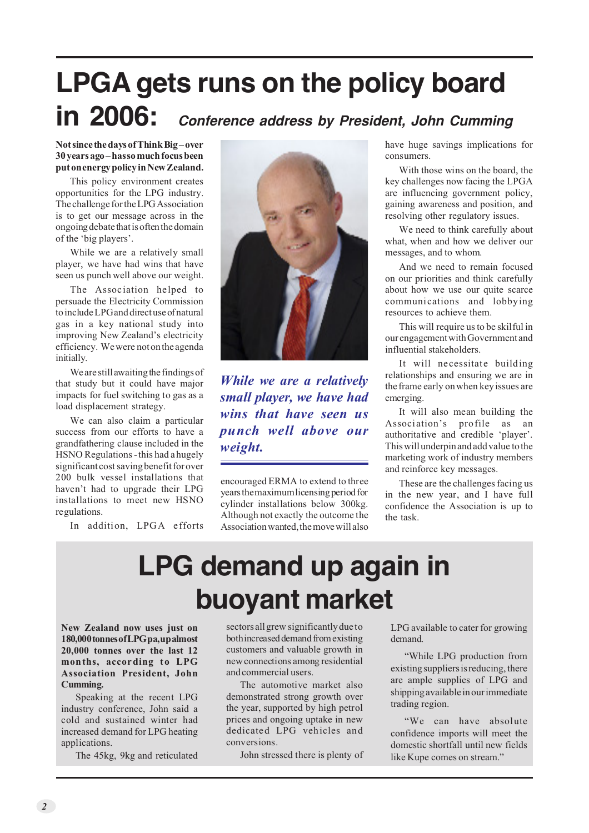### **LPGA gets runs on the policy board in 2006: Conference address by President, John Cumming**

#### **Not since the days of Think Big – over 30 years ago – has so much focus been put on energy policy in New Zealand.**

This policy environment creates opportunities for the LPG industry. The challenge for the LPG Association is to get our message across in the ongoing debate that is often the domain of the 'big players'.

While we are a relatively small player, we have had wins that have seen us punch well above our weight.

The Association helped to persuade the Electricity Commission to include LPG and direct use of natural gas in a key national study into improving New Zealand's electricity efficiency. We were not on the agenda initially.

We are still awaiting the findings of that study but it could have major impacts for fuel switching to gas as a load displacement strategy.

We can also claim a particular success from our efforts to have a grandfathering clause included in the HSNO Regulations - this had a hugely significant cost saving benefit for over 200 bulk vessel installations that haven't had to upgrade their LPG installations to meet new HSNO regulations.

In addition, LPGA efforts



*While we are a relatively small player, we have had wins that have seen us punch well above our weight.*

encouraged ERMA to extend to three years the maximum licensing period for cylinder installations below 300kg. Although not exactly the outcome the Association wanted, the move will also have huge savings implications for consumers.

With those wins on the board, the key challenges now facing the LPGA are influencing government policy, gaining awareness and position, and resolving other regulatory issues.

We need to think carefully about what, when and how we deliver our messages, and to whom.

And we need to remain focused on our priorities and think carefully about how we use our quite scarce communications and lobbying resources to achieve them.

This will require us to be skilful in our engagement with Government and influential stakeholders.

It will necessitate building relationships and ensuring we are in the frame early on when key issues are emerging.

It will also mean building the Association's profile as an authoritative and credible 'player'. This will underpin and add value to the marketing work of industry members and reinforce key messages.

These are the challenges facing us in the new year, and I have full confidence the Association is up to the task.

### **LPG demand up again in buoyant market**

**New Zealand now uses just on 180,000 tonnes of LPG pa, up almost 20,000 tonnes over the last 12 months, according to LPG Association President, John Cumming.**

Speaking at the recent LPG industry conference, John said a cold and sustained winter had increased demand for LPG heating applications.

The 45kg, 9kg and reticulated

sectors all grew significantly due to both increased demand from existing customers and valuable growth in new connections among residential and commercial users.

The automotive market also demonstrated strong growth over the year, supported by high petrol prices and ongoing uptake in new dedicated LPG vehicles and conversions.

John stressed there is plenty of

LPG available to cater for growing demand.

"While LPG production from existing suppliers is reducing, there are ample supplies of LPG and shipping available in our immediate trading region.

"We can have absolute confidence imports will meet the domestic shortfall until new fields like Kupe comes on stream."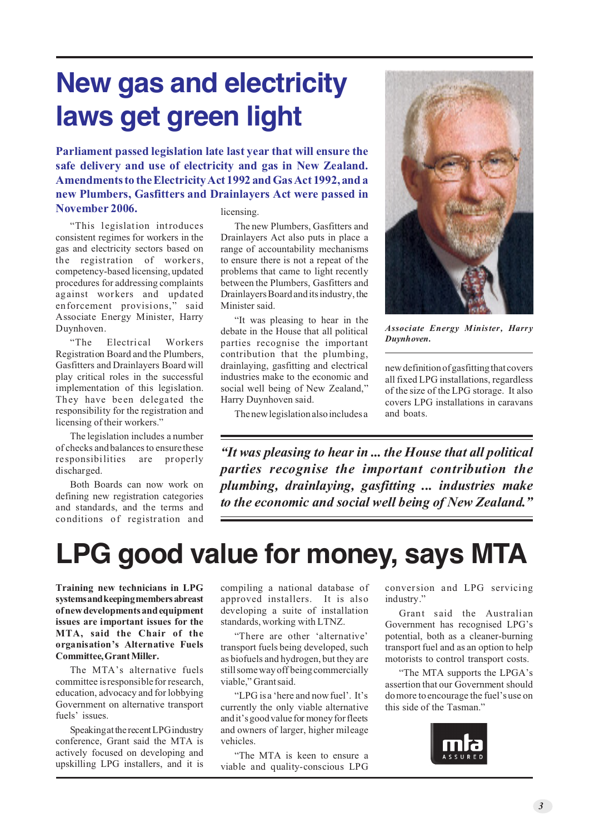### **New gas and electricity laws get green light**

**Parliament passed legislation late last year that will ensure the safe delivery and use of electricity and gas in New Zealand. Amendments to the Electricity Act 1992 and Gas Act 1992, and a new Plumbers, Gasfitters and Drainlayers Act were passed in November 2006.**

"This legislation introduces consistent regimes for workers in the gas and electricity sectors based on the registration of workers, competency-based licensing, updated procedures for addressing complaints against workers and updated enforcement provisions," said Associate Energy Minister, Harry Duynhoven.

"The Electrical Workers Registration Board and the Plumbers, Gasfitters and Drainlayers Board will play critical roles in the successful implementation of this legislation. They have been delegated the responsibility for the registration and licensing of their workers."

The legislation includes a number of checks and balances to ensure these responsibilities are properly discharged.

Both Boards can now work on defining new registration categories and standards, and the terms and conditions of registration and

#### licensing.

The new Plumbers, Gasfitters and Drainlayers Act also puts in place a range of accountability mechanisms to ensure there is not a repeat of the problems that came to light recently between the Plumbers, Gasfitters and Drainlayers Board and its industry, the Minister said.

"It was pleasing to hear in the debate in the House that all political parties recognise the important contribution that the plumbing, drainlaying, gasfitting and electrical industries make to the economic and social well being of New Zealand," Harry Duynhoven said.

The new legislation also includes a



*Associate Energy Minister, Harry Duynhoven.*

new definition of gasfitting that covers all fixed LPG installations, regardless of the size of the LPG storage. It also covers LPG installations in caravans and boats.

*"It was pleasing to hear in ... the House that all political parties recognise the important contribution the plumbing, drainlaying, gasfitting ... industries make to the economic and social well being of New Zealand."*

### **LPG good value for money, says MTA**

**Training new technicians in LPG systems and keeping members abreast of new developments and equipment issues are important issues for the MTA, said the Chair of the organisation's Alternative Fuels Committee, Grant Miller.**

The MTA's alternative fuels committee is responsible for research, education, advocacy and for lobbying Government on alternative transport fuels' issues.

Speaking at the recent LPG industry conference, Grant said the MTA is actively focused on developing and upskilling LPG installers, and it is

compiling a national database of approved installers. It is also developing a suite of installation standards, working with LTNZ.

"There are other 'alternative' transport fuels being developed, such as biofuels and hydrogen, but they are still some way off being commercially viable," Grant said.

"LPG is a 'here and now fuel'. It's currently the only viable alternative and it's good value for money for fleets and owners of larger, higher mileage vehicles.

"The MTA is keen to ensure a viable and quality-conscious LPG

conversion and LPG servicing industry."

Grant said the Australian Government has recognised LPG's potential, both as a cleaner-burning transport fuel and as an option to help motorists to control transport costs.

"The MTA supports the LPGA's assertion that our Government should do more to encourage the fuel's use on this side of the Tasman."